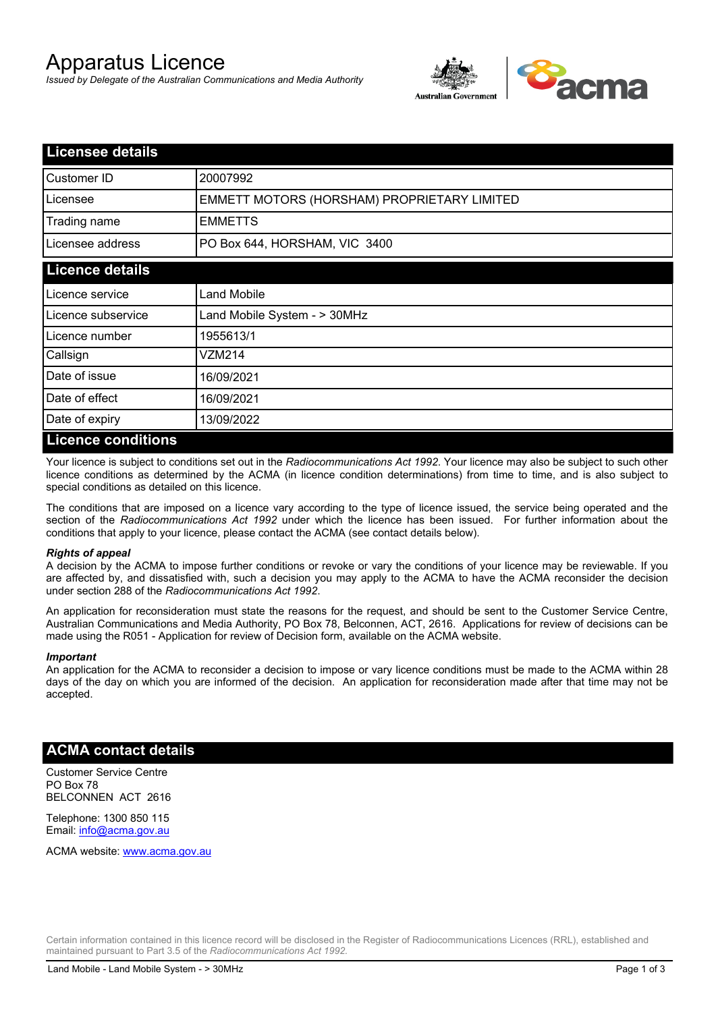# Apparatus Licence

*Issued by Delegate of the Australian Communications and Media Authority*



| <b>Licensee details</b> |                                             |
|-------------------------|---------------------------------------------|
| Customer ID             | 20007992                                    |
| Licensee                | EMMETT MOTORS (HORSHAM) PROPRIETARY LIMITED |
| Trading name            | <b>EMMETTS</b>                              |
| Licensee address        | PO Box 644, HORSHAM, VIC 3400               |
| <b>Licence details</b>  |                                             |
| l Licence service       | <b>Land Mobile</b>                          |
| Licence subservice      | Land Mobile System - > 30MHz                |
| l Licence number        | 1955613/1                                   |
| Callsign                | VZM214                                      |
| Date of issue           | 16/09/2021                                  |
| Date of effect          | 16/09/2021                                  |
| Date of expiry          | 13/09/2022                                  |
| Licance conditions      |                                             |

### **Licence conditions**

Your licence is subject to conditions set out in the *Radiocommunications Act 1992*. Your licence may also be subject to such other licence conditions as determined by the ACMA (in licence condition determinations) from time to time, and is also subject to special conditions as detailed on this licence.

The conditions that are imposed on a licence vary according to the type of licence issued, the service being operated and the section of the *Radiocommunications Act 1992* under which the licence has been issued. For further information about the conditions that apply to your licence, please contact the ACMA (see contact details below).

#### *Rights of appeal*

A decision by the ACMA to impose further conditions or revoke or vary the conditions of your licence may be reviewable. If you are affected by, and dissatisfied with, such a decision you may apply to the ACMA to have the ACMA reconsider the decision under section 288 of the *Radiocommunications Act 1992*.

An application for reconsideration must state the reasons for the request, and should be sent to the Customer Service Centre, Australian Communications and Media Authority, PO Box 78, Belconnen, ACT, 2616. Applications for review of decisions can be made using the R051 - Application for review of Decision form, available on the ACMA website.

#### *Important*

An application for the ACMA to reconsider a decision to impose or vary licence conditions must be made to the ACMA within 28 days of the day on which you are informed of the decision. An application for reconsideration made after that time may not be accepted.

## **ACMA contact details**

Customer Service Centre PO Box 78 BELCONNEN ACT 2616

Telephone: 1300 850 115 Email: info@acma.gov.au

ACMA website: www.acma.gov.au

Certain information contained in this licence record will be disclosed in the Register of Radiocommunications Licences (RRL), established and maintained pursuant to Part 3.5 of the *Radiocommunications Act 1992.*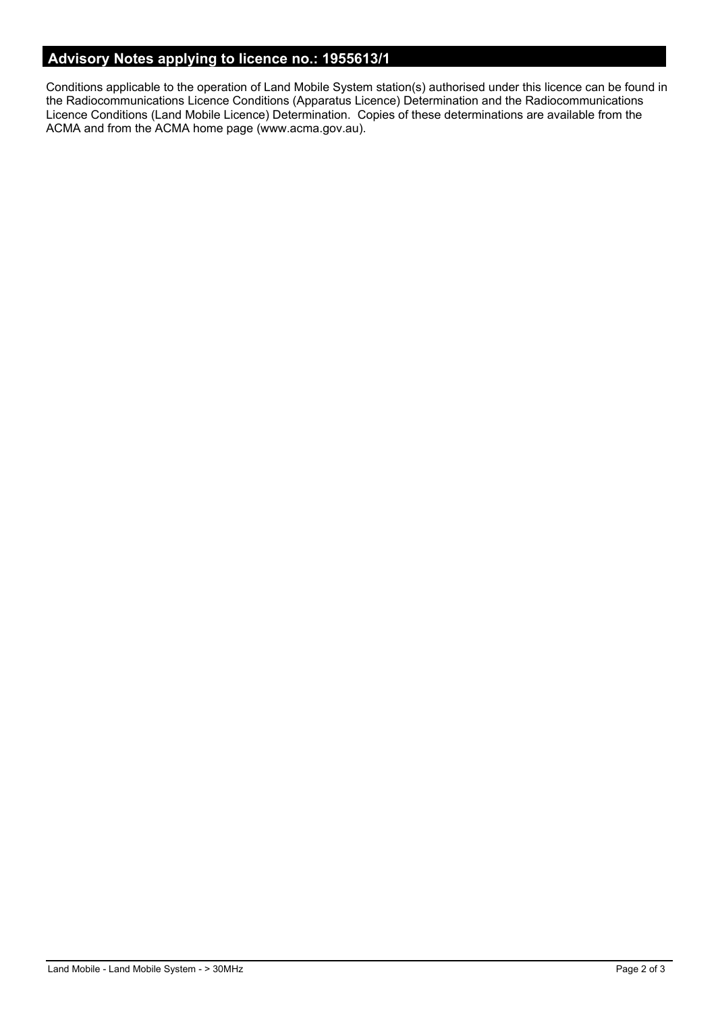# **Advisory Notes applying to licence no.: 1955613/1**

Conditions applicable to the operation of Land Mobile System station(s) authorised under this licence can be found in the Radiocommunications Licence Conditions (Apparatus Licence) Determination and the Radiocommunications Licence Conditions (Land Mobile Licence) Determination. Copies of these determinations are available from the ACMA and from the ACMA home page (www.acma.gov.au).